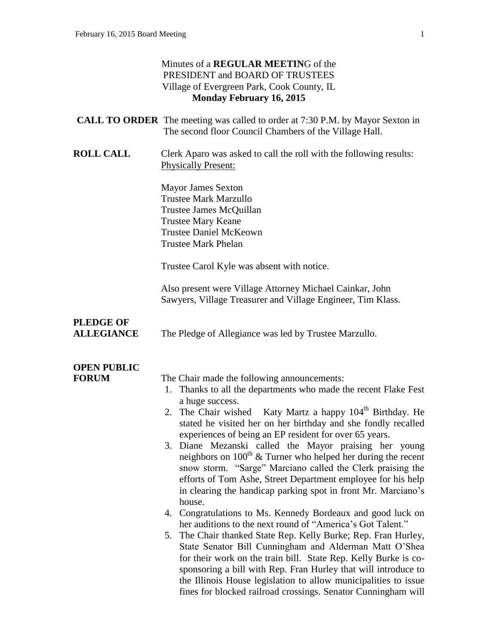#### Minutes of a **REGULAR MEETIN**G of the PRESIDENT and BOARD OF TRUSTEES Village of Evergreen Park, Cook County, IL **Monday February 16, 2015**

| <b>CALL TO ORDER</b> The meeting was called to order at 7:30 P.M. by Mayor Sexton in |
|--------------------------------------------------------------------------------------|
| The second floor Council Chambers of the Village Hall.                               |

**ROLL CALL** Clerk Aparo was asked to call the roll with the following results: Physically Present:

> Mayor James Sexton Trustee Mark Marzullo Trustee James McQuillan Trustee Mary Keane Trustee Daniel McKeown Trustee Mark Phelan

Trustee Carol Kyle was absent with notice.

Also present were Village Attorney Michael Cainkar, John Sawyers, Village Treasurer and Village Engineer, Tim Klass.

## **PLEDGE OF**

**ALLEGIANCE** The Pledge of Allegiance was led by Trustee Marzullo.

### **OPEN PUBLIC**

**FORUM** The Chair made the following announcements:

- 1. Thanks to all the departments who made the recent Flake Fest a huge success.
- 2. The Chair wished Katy Martz a happy  $104<sup>th</sup>$  Birthday. He stated he visited her on her birthday and she fondly recalled experiences of being an EP resident for over 65 years.
- 3. Diane Mezanski called the Mayor praising her young neighbors on  $100<sup>th</sup>$  & Turner who helped her during the recent snow storm. "Sarge" Marciano called the Clerk praising the efforts of Tom Ashe, Street Department employee for his help in clearing the handicap parking spot in front Mr. Marciano's house.
- 4. Congratulations to Ms. Kennedy Bordeaux and good luck on her auditions to the next round of "America's Got Talent."
- 5. The Chair thanked State Rep. Kelly Burke; Rep. Fran Hurley, State Senator Bill Cunningham and Alderman Matt O'Shea for their work on the train bill. State Rep. Kelly Burke is cosponsoring a bill with Rep. Fran Hurley that will introduce to the Illinois House legislation to allow municipalities to issue fines for blocked railroad crossings. Senator Cunningham will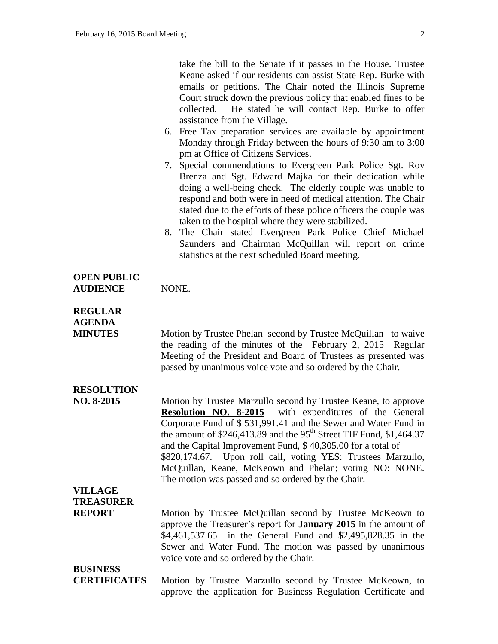take the bill to the Senate if it passes in the House. Trustee Keane asked if our residents can assist State Rep. Burke with emails or petitions. The Chair noted the Illinois Supreme Court struck down the previous policy that enabled fines to be collected. He stated he will contact Rep. Burke to offer assistance from the Village.

- 6. Free Tax preparation services are available by appointment Monday through Friday between the hours of 9:30 am to 3:00 pm at Office of Citizens Services.
- 7. Special commendations to Evergreen Park Police Sgt. Roy Brenza and Sgt. Edward Majka for their dedication while doing a well-being check. The elderly couple was unable to respond and both were in need of medical attention. The Chair stated due to the efforts of these police officers the couple was taken to the hospital where they were stabilized.
- 8. The Chair stated Evergreen Park Police Chief Michael Saunders and Chairman McQuillan will report on crime statistics at the next scheduled Board meeting.

#### **OPEN PUBLIC AUDIENCE** NONE.

#### **REGULAR AGENDA**

**MINUTES** Motion by Trustee Phelan second by Trustee McQuillan to waive the reading of the minutes of the February 2, 2015 Regular Meeting of the President and Board of Trustees as presented was passed by unanimous voice vote and so ordered by the Chair.

### **RESOLUTION**

**NO. 8-2015** Motion by Trustee Marzullo second by Trustee Keane, to approve<br>**Resolution NO. 8-2015** with expenditures of the General with expenditures of the General Corporate Fund of \$ 531,991.41 and the Sewer and Water Fund in the amount of  $$246,413.89$  and the 95<sup>th</sup> Street TIF Fund, \$1,464.37 and the Capital Improvement Fund, \$ 40,305.00 for a total of \$820,174.67. Upon roll call, voting YES: Trustees Marzullo, McQuillan, Keane, McKeown and Phelan; voting NO: NONE. The motion was passed and so ordered by the Chair.

### **VILLAGE TREASURER**

**REPORT** Motion by Trustee McQuillan second by Trustee McKeown to approve the Treasurer's report for **January 2015** in the amount of \$4,461,537.65 in the General Fund and \$2,495,828.35 in the Sewer and Water Fund. The motion was passed by unanimous voice vote and so ordered by the Chair.

## **BUSINESS**

**CERTIFICATES** Motion by Trustee Marzullo second by Trustee McKeown, to approve the application for Business Regulation Certificate and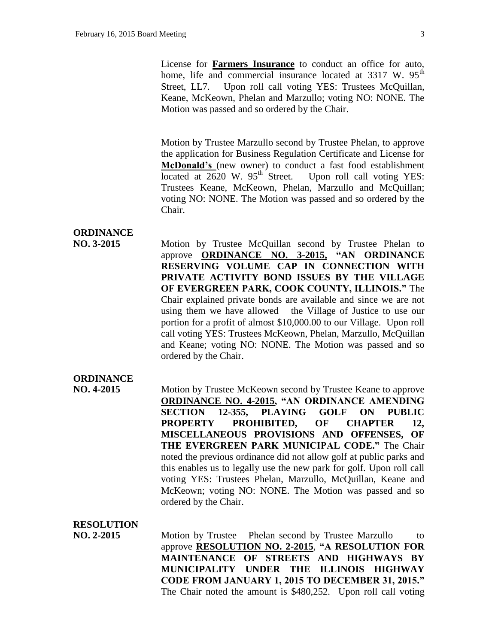License for **Farmers Insurance** to conduct an office for auto, home, life and commercial insurance located at  $3317$  W.  $95<sup>th</sup>$ Street, LL7. Upon roll call voting YES: Trustees McQuillan, Keane, McKeown, Phelan and Marzullo; voting NO: NONE. The Motion was passed and so ordered by the Chair.

Motion by Trustee Marzullo second by Trustee Phelan, to approve the application for Business Regulation Certificate and License for **McDonald's** (new owner) to conduct a fast food establishment located at  $2620 \text{ W}$ .  $95^{\text{th}}$  Street. Upon roll call voting YES: Trustees Keane, McKeown, Phelan, Marzullo and McQuillan; voting NO: NONE. The Motion was passed and so ordered by the Chair.

#### **ORDINANCE**

**NO. 3-2015** Motion by Trustee McQuillan second by Trustee Phelan to approve **ORDINANCE NO. 3-2015, "AN ORDINANCE RESERVING VOLUME CAP IN CONNECTION WITH PRIVATE ACTIVITY BOND ISSUES BY THE VILLAGE OF EVERGREEN PARK, COOK COUNTY, ILLINOIS."** The Chair explained private bonds are available and since we are not using them we have allowed the Village of Justice to use our portion for a profit of almost \$10,000.00 to our Village. Upon roll call voting YES: Trustees McKeown, Phelan, Marzullo, McQuillan and Keane; voting NO: NONE. The Motion was passed and so ordered by the Chair.

#### **ORDINANCE**

**NO. 4-2015** Motion by Trustee McKeown second by Trustee Keane to approve **ORDINANCE NO. 4-2015, "AN ORDINANCE AMENDING SECTION 12-355, PLAYING GOLF ON PUBLIC PROPERTY PROHIBITED, OF CHAPTER 12, MISCELLANEOUS PROVISIONS AND OFFENSES, OF THE EVERGREEN PARK MUNICIPAL CODE."** The Chair noted the previous ordinance did not allow golf at public parks and this enables us to legally use the new park for golf. Upon roll call voting YES: Trustees Phelan, Marzullo, McQuillan, Keane and McKeown; voting NO: NONE. The Motion was passed and so ordered by the Chair.

#### **RESOLUTION**

**NO. 2-2015** Motion by Trustee Phelan second by Trustee Marzullo to approve **RESOLUTION NO. 2-2015**, **"A RESOLUTION FOR MAINTENANCE OF STREETS AND HIGHWAYS BY MUNICIPALITY UNDER THE ILLINOIS HIGHWAY CODE FROM JANUARY 1, 2015 TO DECEMBER 31, 2015."** The Chair noted the amount is \$480,252. Upon roll call voting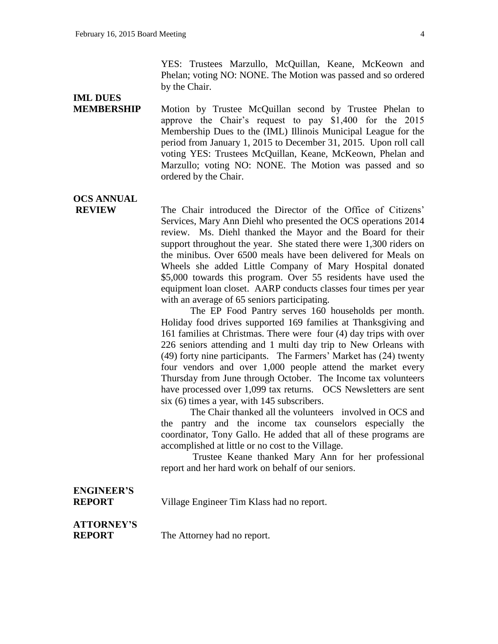YES: Trustees Marzullo, McQuillan, Keane, McKeown and Phelan; voting NO: NONE. The Motion was passed and so ordered by the Chair.

## **IML DUES**

**MEMBERSHIP** Motion by Trustee McQuillan second by Trustee Phelan to approve the Chair's request to pay \$1,400 for the 2015 Membership Dues to the (IML) Illinois Municipal League for the period from January 1, 2015 to December 31, 2015. Upon roll call voting YES: Trustees McQuillan, Keane, McKeown, Phelan and Marzullo; voting NO: NONE. The Motion was passed and so ordered by the Chair.

## **OCS ANNUAL**

**REVIEW** The Chair introduced the Director of the Office of Citizens' Services, Mary Ann Diehl who presented the OCS operations 2014 review. Ms. Diehl thanked the Mayor and the Board for their support throughout the year. She stated there were 1,300 riders on the minibus. Over 6500 meals have been delivered for Meals on Wheels she added Little Company of Mary Hospital donated \$5,000 towards this program. Over 55 residents have used the equipment loan closet. AARP conducts classes four times per year with an average of 65 seniors participating.

> The EP Food Pantry serves 160 households per month. Holiday food drives supported 169 families at Thanksgiving and 161 families at Christmas. There were four (4) day trips with over 226 seniors attending and 1 multi day trip to New Orleans with (49) forty nine participants. The Farmers' Market has (24) twenty four vendors and over 1,000 people attend the market every Thursday from June through October. The Income tax volunteers have processed over 1,099 tax returns. OCS Newsletters are sent six (6) times a year, with 145 subscribers.

> The Chair thanked all the volunteers involved in OCS and the pantry and the income tax counselors especially the coordinator, Tony Gallo. He added that all of these programs are accomplished at little or no cost to the Village.

> Trustee Keane thanked Mary Ann for her professional report and her hard work on behalf of our seniors.

# **ENGINEER'S**

**REPORT** Village Engineer Tim Klass had no report.

# **ATTORNEY'S**

**REPORT** The Attorney had no report.